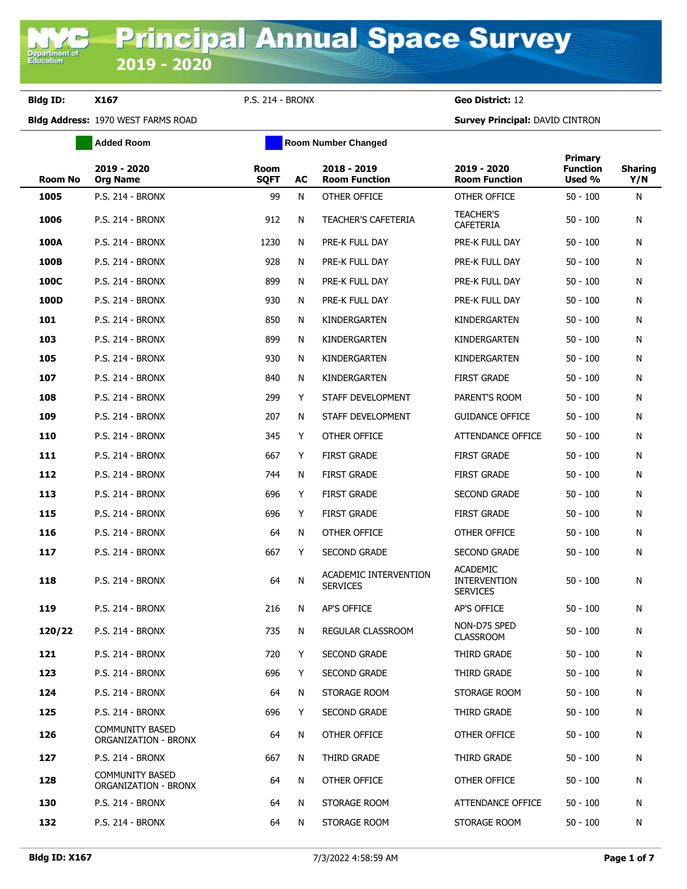**Department o**<br>Education

**Bldg ID: X167** P.S. 214 - BRONX **Geo District:** 12

|                | <b>Added Room</b>                              |                     | <b>Room Number Changed</b> |                                          |                                                           |                                      |                       |
|----------------|------------------------------------------------|---------------------|----------------------------|------------------------------------------|-----------------------------------------------------------|--------------------------------------|-----------------------|
| <b>Room No</b> | 2019 - 2020<br><b>Org Name</b>                 | Room<br><b>SQFT</b> | AC                         | 2018 - 2019<br><b>Room Function</b>      | 2019 - 2020<br><b>Room Function</b>                       | Primary<br><b>Function</b><br>Used % | <b>Sharing</b><br>Y/N |
| 1005           | <b>P.S. 214 - BRONX</b>                        | 99                  | N                          | OTHER OFFICE                             | OTHER OFFICE                                              | $50 - 100$                           | N                     |
| 1006           | <b>P.S. 214 - BRONX</b>                        | 912                 | N                          | <b>TEACHER'S CAFETERIA</b>               | <b>TEACHER'S</b><br><b>CAFETERIA</b>                      | $50 - 100$                           | N                     |
| 100A           | P.S. 214 - BRONX                               | 1230                | N                          | PRE-K FULL DAY                           | PRE-K FULL DAY                                            | $50 - 100$                           | N                     |
| 100B           | <b>P.S. 214 - BRONX</b>                        | 928                 | N                          | PRE-K FULL DAY                           | PRE-K FULL DAY                                            | $50 - 100$                           | N                     |
| 100C           | <b>P.S. 214 - BRONX</b>                        | 899                 | N                          | PRE-K FULL DAY                           | PRE-K FULL DAY                                            | $50 - 100$                           | N                     |
| 100D           | <b>P.S. 214 - BRONX</b>                        | 930                 | N                          | PRE-K FULL DAY                           | PRE-K FULL DAY                                            | $50 - 100$                           | N                     |
| 101            | <b>P.S. 214 - BRONX</b>                        | 850                 | N                          | KINDERGARTEN                             | KINDERGARTEN                                              | $50 - 100$                           | N                     |
| 103            | <b>P.S. 214 - BRONX</b>                        | 899                 | N                          | KINDERGARTEN                             | KINDERGARTEN                                              | $50 - 100$                           | N                     |
| 105            | <b>P.S. 214 - BRONX</b>                        | 930                 | N                          | KINDERGARTEN                             | KINDERGARTEN                                              | $50 - 100$                           | N                     |
| 107            | P.S. 214 - BRONX                               | 840                 | N                          | KINDERGARTEN                             | <b>FIRST GRADE</b>                                        | $50 - 100$                           | N                     |
| 108            | <b>P.S. 214 - BRONX</b>                        | 299                 | Y                          | STAFF DEVELOPMENT                        | PARENT'S ROOM                                             | $50 - 100$                           | N                     |
| 109            | P.S. 214 - BRONX                               | 207                 | N                          | STAFF DEVELOPMENT                        | <b>GUIDANCE OFFICE</b>                                    | $50 - 100$                           | N                     |
| 110            | <b>P.S. 214 - BRONX</b>                        | 345                 | Y                          | OTHER OFFICE                             | ATTENDANCE OFFICE                                         | $50 - 100$                           | N                     |
| 111            | P.S. 214 - BRONX                               | 667                 | Y                          | <b>FIRST GRADE</b>                       | <b>FIRST GRADE</b>                                        | $50 - 100$                           | N                     |
| 112            | <b>P.S. 214 - BRONX</b>                        | 744                 | N                          | <b>FIRST GRADE</b>                       | <b>FIRST GRADE</b>                                        | $50 - 100$                           | N                     |
| 113            | <b>P.S. 214 - BRONX</b>                        | 696                 | Y                          | <b>FIRST GRADE</b>                       | <b>SECOND GRADE</b>                                       | $50 - 100$                           | N                     |
| 115            | <b>P.S. 214 - BRONX</b>                        | 696                 | Y                          | <b>FIRST GRADE</b>                       | <b>FIRST GRADE</b>                                        | $50 - 100$                           | N                     |
| 116            | P.S. 214 - BRONX                               | 64                  | N                          | OTHER OFFICE                             | OTHER OFFICE                                              | $50 - 100$                           | N                     |
| 117            | <b>P.S. 214 - BRONX</b>                        | 667                 | Y                          | SECOND GRADE                             | <b>SECOND GRADE</b>                                       | $50 - 100$                           | N                     |
| 118            | <b>P.S. 214 - BRONX</b>                        | 64                  | Ν                          | ACADEMIC INTERVENTION<br><b>SERVICES</b> | <b>ACADEMIC</b><br><b>INTERVENTION</b><br><b>SERVICES</b> | $50 - 100$                           | N                     |
| 119            | <b>P.S. 214 - BRONX</b>                        | 216                 | N                          | AP'S OFFICE                              | AP'S OFFICE                                               | $50 - 100$                           | N                     |
| 120/22         | <b>P.S. 214 - BRONX</b>                        | 735                 | N                          | REGULAR CLASSROOM                        | NON-D75 SPED<br><b>CLASSROOM</b>                          | $50 - 100$                           | N                     |
| 121            | <b>P.S. 214 - BRONX</b>                        | 720                 | Y                          | <b>SECOND GRADE</b>                      | THIRD GRADE                                               | $50 - 100$                           | N                     |
| 123            | P.S. 214 - BRONX                               | 696                 | Y                          | <b>SECOND GRADE</b>                      | THIRD GRADE                                               | $50 - 100$                           | N                     |
| 124            | P.S. 214 - BRONX                               | 64                  | N                          | STORAGE ROOM                             | STORAGE ROOM                                              | $50 - 100$                           | N                     |
| 125            | <b>P.S. 214 - BRONX</b>                        | 696                 | Y                          | SECOND GRADE                             | THIRD GRADE                                               | $50 - 100$                           | N                     |
| 126            | <b>COMMUNITY BASED</b><br>ORGANIZATION - BRONX | 64                  | N                          | OTHER OFFICE                             | OTHER OFFICE                                              | $50 - 100$                           | N                     |
| 127            | <b>P.S. 214 - BRONX</b>                        | 667                 | N                          | THIRD GRADE                              | THIRD GRADE                                               | $50 - 100$                           | N                     |
| 128            | <b>COMMUNITY BASED</b><br>ORGANIZATION - BRONX | 64                  | N                          | OTHER OFFICE                             | OTHER OFFICE                                              | $50 - 100$                           | N                     |
| 130            | P.S. 214 - BRONX                               | 64                  | N                          | STORAGE ROOM                             | ATTENDANCE OFFICE                                         | $50 - 100$                           | N                     |
| 132            | <b>P.S. 214 - BRONX</b>                        | 64                  | N                          | STORAGE ROOM                             | STORAGE ROOM                                              | $50 - 100$                           | N                     |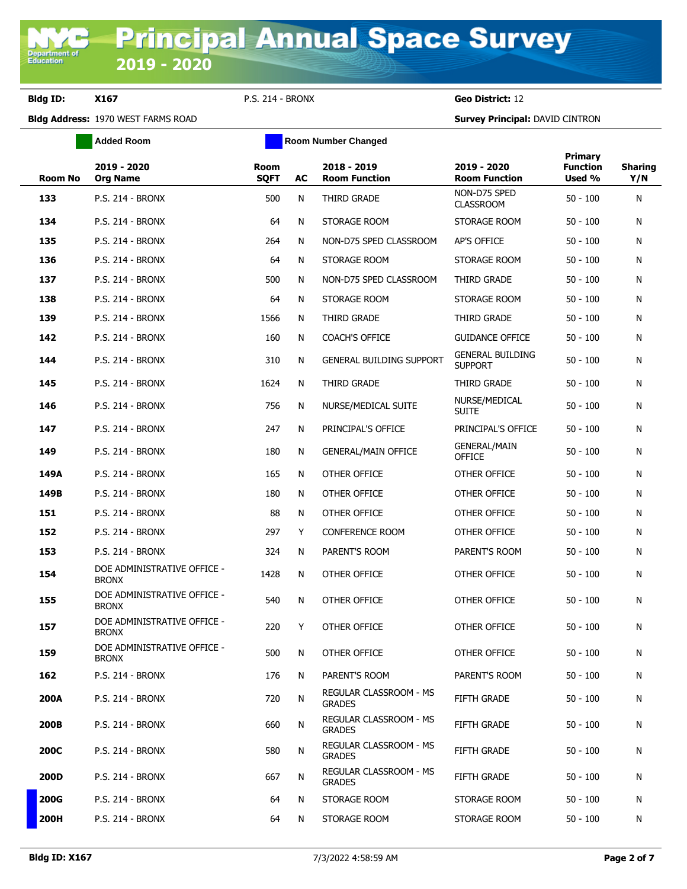**Added Room Room Room Number Changed** 

**Bldg ID: X167** P.S. 214 - BRONX **Geo District:** 12

| <b>Room No</b> | 2019 - 2020<br><b>Org Name</b>              | <b>Room</b><br><b>SQFT</b> | AC | 2018 - 2019<br><b>Room Function</b>            | 2019 - 2020<br><b>Room Function</b>       | Primary<br><b>Function</b><br>Used % | <b>Sharing</b><br>Y/N |
|----------------|---------------------------------------------|----------------------------|----|------------------------------------------------|-------------------------------------------|--------------------------------------|-----------------------|
| 133            | <b>P.S. 214 - BRONX</b>                     | 500                        | N  | THIRD GRADE                                    | NON-D75 SPED<br><b>CLASSROOM</b>          | $50 - 100$                           | N                     |
| 134            | P.S. 214 - BRONX                            | 64                         | N  | STORAGE ROOM                                   | STORAGE ROOM                              | $50 - 100$                           | N                     |
| 135            | <b>P.S. 214 - BRONX</b>                     | 264                        | N  | NON-D75 SPED CLASSROOM                         | AP'S OFFICE                               | $50 - 100$                           | N                     |
| 136            | <b>P.S. 214 - BRONX</b>                     | 64                         | N  | STORAGE ROOM                                   | STORAGE ROOM                              | $50 - 100$                           | N                     |
| 137            | <b>P.S. 214 - BRONX</b>                     | 500                        | N  | NON-D75 SPED CLASSROOM                         | <b>THIRD GRADE</b>                        | $50 - 100$                           | N                     |
| 138            | P.S. 214 - BRONX                            | 64                         | N  | STORAGE ROOM                                   | STORAGE ROOM                              | $50 - 100$                           | N                     |
| 139            | <b>P.S. 214 - BRONX</b>                     | 1566                       | N  | THIRD GRADE                                    | THIRD GRADE                               | $50 - 100$                           | N                     |
| 142            | <b>P.S. 214 - BRONX</b>                     | 160                        | N  | COACH'S OFFICE                                 | <b>GUIDANCE OFFICE</b>                    | $50 - 100$                           | N                     |
| 144            | <b>P.S. 214 - BRONX</b>                     | 310                        | N  | <b>GENERAL BUILDING SUPPORT</b>                | <b>GENERAL BUILDING</b><br><b>SUPPORT</b> | $50 - 100$                           | N                     |
| 145            | <b>P.S. 214 - BRONX</b>                     | 1624                       | N  | THIRD GRADE                                    | THIRD GRADE                               | $50 - 100$                           | N                     |
| 146            | <b>P.S. 214 - BRONX</b>                     | 756                        | N  | NURSE/MEDICAL SUITE                            | NURSE/MEDICAL<br><b>SUITE</b>             | $50 - 100$                           | N                     |
| 147            | P.S. 214 - BRONX                            | 247                        | N  | PRINCIPAL'S OFFICE                             | PRINCIPAL'S OFFICE                        | $50 - 100$                           | N                     |
| 149            | <b>P.S. 214 - BRONX</b>                     | 180                        | N  | <b>GENERAL/MAIN OFFICE</b>                     | <b>GENERAL/MAIN</b><br>OFFICE             | $50 - 100$                           | N                     |
| 149A           | <b>P.S. 214 - BRONX</b>                     | 165                        | N  | OTHER OFFICE                                   | OTHER OFFICE                              | $50 - 100$                           | N                     |
| 149B           | <b>P.S. 214 - BRONX</b>                     | 180                        | N  | OTHER OFFICE                                   | OTHER OFFICE                              | $50 - 100$                           | N                     |
| 151            | <b>P.S. 214 - BRONX</b>                     | 88                         | N  | OTHER OFFICE                                   | OTHER OFFICE                              | $50 - 100$                           | N                     |
| 152            | <b>P.S. 214 - BRONX</b>                     | 297                        | Y  | <b>CONFERENCE ROOM</b>                         | OTHER OFFICE                              | $50 - 100$                           | N                     |
| 153            | <b>P.S. 214 - BRONX</b>                     | 324                        | N  | PARENT'S ROOM                                  | PARENT'S ROOM                             | $50 - 100$                           | N                     |
| 154            | DOE ADMINISTRATIVE OFFICE -<br><b>BRONX</b> | 1428                       | N  | OTHER OFFICE                                   | OTHER OFFICE                              | $50 - 100$                           | N                     |
| 155            | DOE ADMINISTRATIVE OFFICE -<br><b>BRONX</b> | 540                        | N  | OTHER OFFICE                                   | OTHER OFFICE                              | $50 - 100$                           | N                     |
| 157            | DOE ADMINISTRATIVE OFFICE -<br><b>BRONX</b> | 220                        | Y  | OTHER OFFICE                                   | OTHER OFFICE                              | $50 - 100$                           | N                     |
| 159            | DOE ADMINISTRATIVE OFFICE -<br><b>BRONX</b> | 500                        | N  | OTHER OFFICE                                   | OTHER OFFICE                              | $50 - 100$                           | N                     |
| 162            | P.S. 214 - BRONX                            | 176                        | N  | PARENT'S ROOM                                  | PARENT'S ROOM                             | $50 - 100$                           | N                     |
| <b>200A</b>    | <b>P.S. 214 - BRONX</b>                     | 720                        | N  | <b>REGULAR CLASSROOM - MS</b><br><b>GRADES</b> | <b>FIFTH GRADE</b>                        | $50 - 100$                           | N                     |
| 200B           | <b>P.S. 214 - BRONX</b>                     | 660                        | N  | <b>REGULAR CLASSROOM - MS</b><br><b>GRADES</b> | <b>FIFTH GRADE</b>                        | $50 - 100$                           | N                     |
| <b>200C</b>    | <b>P.S. 214 - BRONX</b>                     | 580                        | N  | <b>REGULAR CLASSROOM - MS</b><br><b>GRADES</b> | <b>FIFTH GRADE</b>                        | $50 - 100$                           | N                     |
| 200D           | <b>P.S. 214 - BRONX</b>                     | 667                        | N  | REGULAR CLASSROOM - MS<br><b>GRADES</b>        | <b>FIFTH GRADE</b>                        | $50 - 100$                           | N                     |
| <b>200G</b>    | <b>P.S. 214 - BRONX</b>                     | 64                         | N  | STORAGE ROOM                                   | STORAGE ROOM                              | $50 - 100$                           | N                     |
| 200H           | <b>P.S. 214 - BRONX</b>                     | 64                         | N  | STORAGE ROOM                                   | STORAGE ROOM                              | $50 - 100$                           | N                     |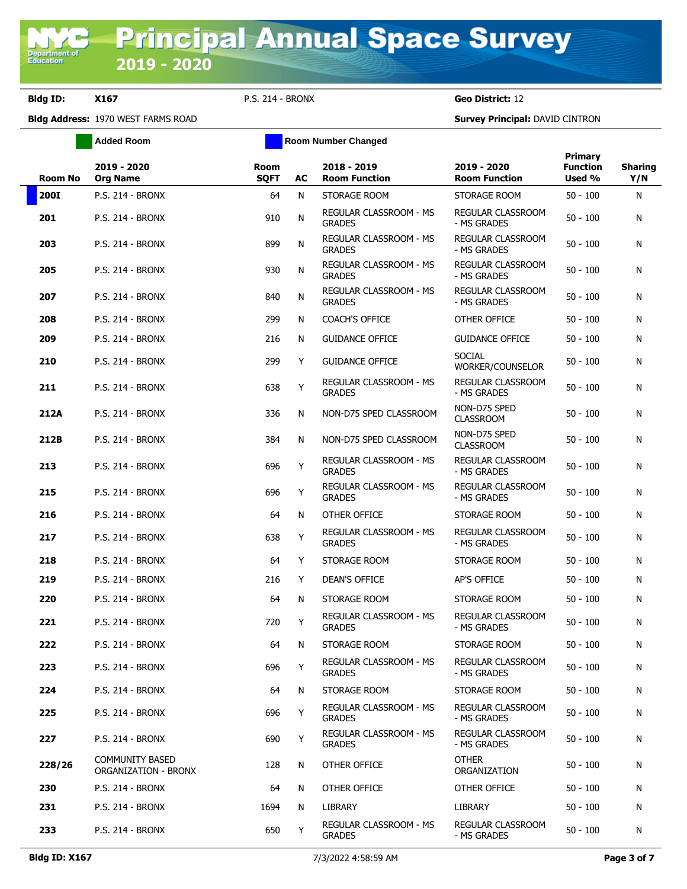**Bldg ID: X167** P.S. 214 - BRONX **Geo District:** 12

**Added Room Room Room Number Changed** 

| <b>Room No</b> | 2019 - 2020<br><b>Org Name</b>                        | Room<br><b>SQFT</b> | AC | 2018 - 2019<br><b>Room Function</b>            | 2019 - 2020<br><b>Room Function</b>     | <b>Primary</b><br><b>Function</b><br>Used % | <b>Sharing</b><br>Y/N |
|----------------|-------------------------------------------------------|---------------------|----|------------------------------------------------|-----------------------------------------|---------------------------------------------|-----------------------|
| <b>200I</b>    | P.S. 214 - BRONX                                      | 64                  | N  | STORAGE ROOM                                   | STORAGE ROOM                            | $50 - 100$                                  | N                     |
| 201            | <b>P.S. 214 - BRONX</b>                               | 910                 | N  | <b>REGULAR CLASSROOM - MS</b><br><b>GRADES</b> | REGULAR CLASSROOM<br>- MS GRADES        | $50 - 100$                                  | N                     |
| 203            | <b>P.S. 214 - BRONX</b>                               | 899                 | N  | REGULAR CLASSROOM - MS<br><b>GRADES</b>        | REGULAR CLASSROOM<br>- MS GRADES        | $50 - 100$                                  | N                     |
| 205            | <b>P.S. 214 - BRONX</b>                               | 930                 | N  | REGULAR CLASSROOM - MS<br><b>GRADES</b>        | REGULAR CLASSROOM<br>- MS GRADES        | $50 - 100$                                  | N                     |
| 207            | <b>P.S. 214 - BRONX</b>                               | 840                 | N  | REGULAR CLASSROOM - MS<br><b>GRADES</b>        | REGULAR CLASSROOM<br>- MS GRADES        | $50 - 100$                                  | N                     |
| 208            | <b>P.S. 214 - BRONX</b>                               | 299                 | N  | <b>COACH'S OFFICE</b>                          | OTHER OFFICE                            | $50 - 100$                                  | N                     |
| 209            | <b>P.S. 214 - BRONX</b>                               | 216                 | N  | <b>GUIDANCE OFFICE</b>                         | <b>GUIDANCE OFFICE</b>                  | $50 - 100$                                  | N                     |
| 210            | <b>P.S. 214 - BRONX</b>                               | 299                 | Y  | <b>GUIDANCE OFFICE</b>                         | <b>SOCIAL</b><br>WORKER/COUNSELOR       | $50 - 100$                                  | N                     |
| 211            | <b>P.S. 214 - BRONX</b>                               | 638                 | Y  | REGULAR CLASSROOM - MS<br><b>GRADES</b>        | REGULAR CLASSROOM<br>- MS GRADES        | $50 - 100$                                  | N                     |
| 212A           | <b>P.S. 214 - BRONX</b>                               | 336                 | N  | NON-D75 SPED CLASSROOM                         | NON-D75 SPED<br><b>CLASSROOM</b>        | $50 - 100$                                  | N                     |
| 212B           | <b>P.S. 214 - BRONX</b>                               | 384                 | N  | NON-D75 SPED CLASSROOM                         | NON-D75 SPED<br><b>CLASSROOM</b>        | $50 - 100$                                  | N                     |
| 213            | <b>P.S. 214 - BRONX</b>                               | 696                 | Y  | REGULAR CLASSROOM - MS<br><b>GRADES</b>        | REGULAR CLASSROOM<br>- MS GRADES        | $50 - 100$                                  | N                     |
| 215            | <b>P.S. 214 - BRONX</b>                               | 696                 | Y  | REGULAR CLASSROOM - MS<br><b>GRADES</b>        | REGULAR CLASSROOM<br>- MS GRADES        | $50 - 100$                                  | N                     |
| 216            | <b>P.S. 214 - BRONX</b>                               | 64                  | N  | OTHER OFFICE                                   | STORAGE ROOM                            | $50 - 100$                                  | N                     |
| 217            | <b>P.S. 214 - BRONX</b>                               | 638                 | Y  | REGULAR CLASSROOM - MS<br><b>GRADES</b>        | REGULAR CLASSROOM<br>- MS GRADES        | $50 - 100$                                  | N                     |
| 218            | <b>P.S. 214 - BRONX</b>                               | 64                  | Y  | STORAGE ROOM                                   | STORAGE ROOM                            | $50 - 100$                                  | N                     |
| 219            | <b>P.S. 214 - BRONX</b>                               | 216                 | Y  | DEAN'S OFFICE                                  | AP'S OFFICE                             | $50 - 100$                                  | N                     |
| 220            | <b>P.S. 214 - BRONX</b>                               | 64                  | N  | STORAGE ROOM                                   | STORAGE ROOM                            | $50 - 100$                                  | N                     |
| 221            | <b>P.S. 214 - BRONX</b>                               | 720                 | Y  | REGULAR CLASSROOM - MS<br><b>GRADES</b>        | REGULAR CLASSROOM<br>- MS GRADES        | $50 - 100$                                  | N                     |
| 222            | <b>P.S. 214 - BRONX</b>                               | 64                  | N  | STORAGE ROOM                                   | STORAGE ROOM                            | $50 - 100$                                  | N                     |
| 223            | <b>P.S. 214 - BRONX</b>                               | 696                 | Y  | REGULAR CLASSROOM - MS<br><b>GRADES</b>        | <b>REGULAR CLASSROOM</b><br>- MS GRADES | $50 - 100$                                  | N                     |
| 224            | P.S. 214 - BRONX                                      | 64                  | N  | STORAGE ROOM                                   | STORAGE ROOM                            | $50 - 100$                                  | N                     |
| 225            | <b>P.S. 214 - BRONX</b>                               | 696                 | Y  | REGULAR CLASSROOM - MS<br><b>GRADES</b>        | REGULAR CLASSROOM<br>- MS GRADES        | $50 - 100$                                  | N                     |
| 227            | <b>P.S. 214 - BRONX</b>                               | 690                 | Y  | REGULAR CLASSROOM - MS<br><b>GRADES</b>        | <b>REGULAR CLASSROOM</b><br>- MS GRADES | $50 - 100$                                  | N                     |
| 228/26         | <b>COMMUNITY BASED</b><br><b>ORGANIZATION - BRONX</b> | 128                 | N  | OTHER OFFICE                                   | <b>OTHER</b><br>ORGANIZATION            | $50 - 100$                                  | N                     |
| 230            | <b>P.S. 214 - BRONX</b>                               | 64                  | N  | OTHER OFFICE                                   | OTHER OFFICE                            | $50 - 100$                                  | N                     |
| 231            | <b>P.S. 214 - BRONX</b>                               | 1694                | N  | LIBRARY                                        | LIBRARY                                 | $50 - 100$                                  | N                     |
| 233            | P.S. 214 - BRONX                                      | 650                 | Y  | REGULAR CLASSROOM - MS<br><b>GRADES</b>        | REGULAR CLASSROOM<br>- MS GRADES        | $50 - 100$                                  | N                     |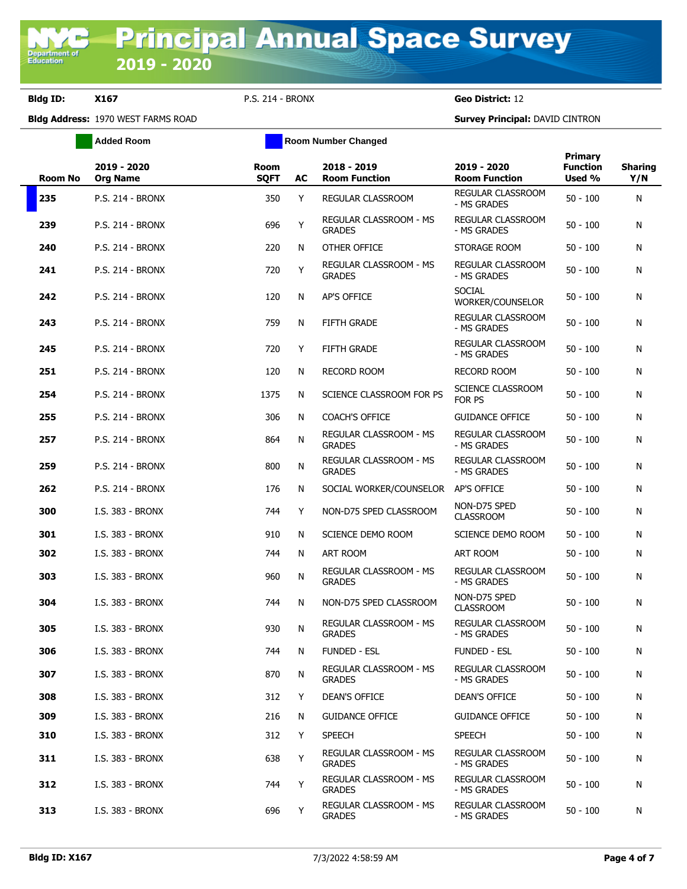**Added Room Room Room Number Changed** 

**Bldg ID: X167** P.S. 214 - BRONX **Geo District:** 12

| <b>Room No</b> | 2019 - 2020<br><b>Org Name</b> | Room<br><b>SQFT</b> | AC | 2018 - 2019<br><b>Room Function</b>            | 2019 - 2020<br><b>Room Function</b> | <b>Primary</b><br><b>Function</b><br>Used % | <b>Sharing</b><br>Y/N |
|----------------|--------------------------------|---------------------|----|------------------------------------------------|-------------------------------------|---------------------------------------------|-----------------------|
| 235            | P.S. 214 - BRONX               | 350                 | Y  | REGULAR CLASSROOM                              | REGULAR CLASSROOM<br>- MS GRADES    | $50 - 100$                                  | N                     |
| 239            | <b>P.S. 214 - BRONX</b>        | 696                 | Y  | REGULAR CLASSROOM - MS<br><b>GRADES</b>        | REGULAR CLASSROOM<br>- MS GRADES    | $50 - 100$                                  | Ν                     |
| 240            | <b>P.S. 214 - BRONX</b>        | 220                 | N  | OTHER OFFICE                                   | STORAGE ROOM                        | $50 - 100$                                  | N                     |
| 241            | P.S. 214 - BRONX               | 720                 | Y  | REGULAR CLASSROOM - MS<br><b>GRADES</b>        | REGULAR CLASSROOM<br>- MS GRADES    | $50 - 100$                                  | N                     |
| 242            | <b>P.S. 214 - BRONX</b>        | 120                 | N  | <b>AP'S OFFICE</b>                             | <b>SOCIAL</b><br>WORKER/COUNSELOR   | $50 - 100$                                  | Ν                     |
| 243            | <b>P.S. 214 - BRONX</b>        | 759                 | N  | <b>FIFTH GRADE</b>                             | REGULAR CLASSROOM<br>- MS GRADES    | $50 - 100$                                  | Ν                     |
| 245            | <b>P.S. 214 - BRONX</b>        | 720                 | Y  | <b>FIFTH GRADE</b>                             | REGULAR CLASSROOM<br>- MS GRADES    | $50 - 100$                                  | Ν                     |
| 251            | <b>P.S. 214 - BRONX</b>        | 120                 | N  | <b>RECORD ROOM</b>                             | <b>RECORD ROOM</b>                  | $50 - 100$                                  | Ν                     |
| 254            | P.S. 214 - BRONX               | 1375                | N  | SCIENCE CLASSROOM FOR PS                       | SCIENCE CLASSROOM<br>FOR PS         | $50 - 100$                                  | N                     |
| 255            | <b>P.S. 214 - BRONX</b>        | 306                 | N  | <b>COACH'S OFFICE</b>                          | <b>GUIDANCE OFFICE</b>              | $50 - 100$                                  | Ν                     |
| 257            | <b>P.S. 214 - BRONX</b>        | 864                 | N  | REGULAR CLASSROOM - MS<br><b>GRADES</b>        | REGULAR CLASSROOM<br>- MS GRADES    | $50 - 100$                                  | Ν                     |
| 259            | <b>P.S. 214 - BRONX</b>        | 800                 | N  | REGULAR CLASSROOM - MS<br><b>GRADES</b>        | REGULAR CLASSROOM<br>- MS GRADES    | $50 - 100$                                  | Ν                     |
| 262            | P.S. 214 - BRONX               | 176                 | N  | SOCIAL WORKER/COUNSELOR                        | AP'S OFFICE                         | $50 - 100$                                  | N                     |
| 300            | I.S. 383 - BRONX               | 744                 | Y  | NON-D75 SPED CLASSROOM                         | NON-D75 SPED<br><b>CLASSROOM</b>    | $50 - 100$                                  | Ν                     |
| 301            | I.S. 383 - BRONX               | 910                 | N  | SCIENCE DEMO ROOM                              | SCIENCE DEMO ROOM                   | $50 - 100$                                  | Ν                     |
| 302            | I.S. 383 - BRONX               | 744                 | N  | ART ROOM                                       | ART ROOM                            | $50 - 100$                                  | Ν                     |
| 303            | I.S. 383 - BRONX               | 960                 | N  | REGULAR CLASSROOM - MS<br><b>GRADES</b>        | REGULAR CLASSROOM<br>- MS GRADES    | $50 - 100$                                  | N                     |
| 304            | I.S. 383 - BRONX               | 744                 | N  | NON-D75 SPED CLASSROOM                         | NON-D75 SPED<br><b>CLASSROOM</b>    | $50 - 100$                                  | N                     |
| 305            | I.S. 383 - BRONX               | 930                 | N  | <b>REGULAR CLASSROOM - MS</b><br><b>GRADES</b> | REGULAR CLASSROOM<br>- MS GRADES    | $50 - 100$                                  | Ν                     |
| 306            | I.S. 383 - BRONX               | 744                 | N. | <b>FUNDED - ESL</b>                            | FUNDED - ESL                        | $50 - 100$                                  | N                     |
| 307            | I.S. 383 - BRONX               | 870                 | N  | REGULAR CLASSROOM - MS<br><b>GRADES</b>        | REGULAR CLASSROOM<br>- MS GRADES    | $50 - 100$                                  | Ν                     |
| 308            | I.S. 383 - BRONX               | 312                 | Y  | <b>DEAN'S OFFICE</b>                           | DEAN'S OFFICE                       | $50 - 100$                                  | N                     |
| 309            | I.S. 383 - BRONX               | 216                 | N  | <b>GUIDANCE OFFICE</b>                         | <b>GUIDANCE OFFICE</b>              | $50 - 100$                                  | N                     |
| 310            | I.S. 383 - BRONX               | 312                 | Y  | <b>SPEECH</b>                                  | <b>SPEECH</b>                       | $50 - 100$                                  | Ν                     |
| 311            | I.S. 383 - BRONX               | 638                 | Y  | REGULAR CLASSROOM - MS<br><b>GRADES</b>        | REGULAR CLASSROOM<br>- MS GRADES    | $50 - 100$                                  | Ν                     |
| 312            | I.S. 383 - BRONX               | 744                 | Y  | REGULAR CLASSROOM - MS<br><b>GRADES</b>        | REGULAR CLASSROOM<br>- MS GRADES    | $50 - 100$                                  | N                     |
| 313            | I.S. 383 - BRONX               | 696                 | Y  | REGULAR CLASSROOM - MS<br><b>GRADES</b>        | REGULAR CLASSROOM<br>- MS GRADES    | $50 - 100$                                  | N                     |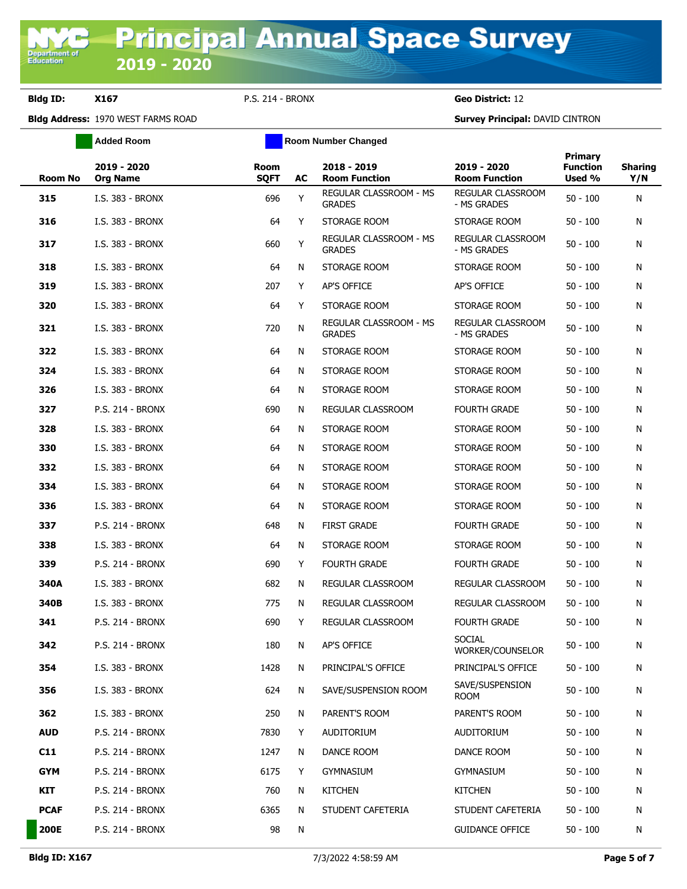**Bldg ID: X167** P.S. 214 - BRONX **Geo District:** 12

**Added Room Room Room Number Changed** 

| <b>Room No</b> | 2019 - 2020<br>Org Name | Room<br><b>SQFT</b> | AC | 2018 - 2019<br><b>Room Function</b>     | 2019 - 2020<br><b>Room Function</b> | Primary<br><b>Function</b><br>Used % | <b>Sharing</b><br>Y/N |
|----------------|-------------------------|---------------------|----|-----------------------------------------|-------------------------------------|--------------------------------------|-----------------------|
| 315            | I.S. 383 - BRONX        | 696                 | Y  | REGULAR CLASSROOM - MS<br><b>GRADES</b> | REGULAR CLASSROOM<br>- MS GRADES    | $50 - 100$                           | N                     |
| 316            | I.S. 383 - BRONX        | 64                  | Y  | STORAGE ROOM                            | STORAGE ROOM                        | $50 - 100$                           | N                     |
| 317            | I.S. 383 - BRONX        | 660                 | Y  | REGULAR CLASSROOM - MS<br><b>GRADES</b> | REGULAR CLASSROOM<br>- MS GRADES    | $50 - 100$                           | N                     |
| 318            | I.S. 383 - BRONX        | 64                  | N  | STORAGE ROOM                            | STORAGE ROOM                        | $50 - 100$                           | N                     |
| 319            | I.S. 383 - BRONX        | 207                 | Y  | AP'S OFFICE                             | AP'S OFFICE                         | $50 - 100$                           | N                     |
| 320            | I.S. 383 - BRONX        | 64                  | Y  | STORAGE ROOM                            | STORAGE ROOM                        | $50 - 100$                           | N                     |
| 321            | I.S. 383 - BRONX        | 720                 | N  | REGULAR CLASSROOM - MS<br><b>GRADES</b> | REGULAR CLASSROOM<br>- MS GRADES    | $50 - 100$                           | N                     |
| 322            | I.S. 383 - BRONX        | 64                  | N  | STORAGE ROOM                            | STORAGE ROOM                        | $50 - 100$                           | N                     |
| 324            | I.S. 383 - BRONX        | 64                  | N  | STORAGE ROOM                            | STORAGE ROOM                        | $50 - 100$                           | N                     |
| 326            | I.S. 383 - BRONX        | 64                  | N  | STORAGE ROOM                            | STORAGE ROOM                        | $50 - 100$                           | N                     |
| 327            | <b>P.S. 214 - BRONX</b> | 690                 | N  | <b>REGULAR CLASSROOM</b>                | <b>FOURTH GRADE</b>                 | $50 - 100$                           | N                     |
| 328            | I.S. 383 - BRONX        | 64                  | N  | STORAGE ROOM                            | STORAGE ROOM                        | $50 - 100$                           | N                     |
| 330            | I.S. 383 - BRONX        | 64                  | N  | STORAGE ROOM                            | STORAGE ROOM                        | $50 - 100$                           | N                     |
| 332            | I.S. 383 - BRONX        | 64                  | N  | STORAGE ROOM                            | STORAGE ROOM                        | $50 - 100$                           | N                     |
| 334            | I.S. 383 - BRONX        | 64                  | N  | STORAGE ROOM                            | STORAGE ROOM                        | $50 - 100$                           | N                     |
| 336            | I.S. 383 - BRONX        | 64                  | N  | STORAGE ROOM                            | STORAGE ROOM                        | $50 - 100$                           | N                     |
| 337            | <b>P.S. 214 - BRONX</b> | 648                 | N  | <b>FIRST GRADE</b>                      | <b>FOURTH GRADE</b>                 | $50 - 100$                           | N                     |
| 338            | I.S. 383 - BRONX        | 64                  | N  | STORAGE ROOM                            | STORAGE ROOM                        | $50 - 100$                           | N                     |
| 339            | <b>P.S. 214 - BRONX</b> | 690                 | Y  | <b>FOURTH GRADE</b>                     | <b>FOURTH GRADE</b>                 | $50 - 100$                           | N                     |
| 340A           | I.S. 383 - BRONX        | 682                 | N  | REGULAR CLASSROOM                       | REGULAR CLASSROOM                   | 50 - 100                             | N                     |
| 340B           | I.S. 383 - BRONX        | 775                 | N  | REGULAR CLASSROOM                       | <b>REGULAR CLASSROOM</b>            | $50 - 100$                           | N                     |
| 341            | <b>P.S. 214 - BRONX</b> | 690                 | Y  | <b>REGULAR CLASSROOM</b>                | <b>FOURTH GRADE</b>                 | $50 - 100$                           | N                     |
| 342            | <b>P.S. 214 - BRONX</b> | 180                 | N  | <b>AP'S OFFICE</b>                      | <b>SOCIAL</b><br>WORKER/COUNSELOR   | $50 - 100$                           | N                     |
| 354            | I.S. 383 - BRONX        | 1428                | N  | PRINCIPAL'S OFFICE                      | PRINCIPAL'S OFFICE                  | $50 - 100$                           | N                     |
| 356            | I.S. 383 - BRONX        | 624                 | N  | SAVE/SUSPENSION ROOM                    | SAVE/SUSPENSION<br>ROOM             | $50 - 100$                           | N                     |
| 362            | I.S. 383 - BRONX        | 250                 | N  | PARENT'S ROOM                           | PARENT'S ROOM                       | $50 - 100$                           | N                     |
| <b>AUD</b>     | P.S. 214 - BRONX        | 7830                | Y  | <b>AUDITORIUM</b>                       | AUDITORIUM                          | $50 - 100$                           | N                     |
| C11            | P.S. 214 - BRONX        | 1247                | N  | DANCE ROOM                              | DANCE ROOM                          | $50 - 100$                           | N                     |
| <b>GYM</b>     | P.S. 214 - BRONX        | 6175                | Y  | <b>GYMNASIUM</b>                        | <b>GYMNASIUM</b>                    | $50 - 100$                           | N                     |
| KIT            | P.S. 214 - BRONX        | 760                 | N  | <b>KITCHEN</b>                          | <b>KITCHEN</b>                      | $50 - 100$                           | N                     |
| <b>PCAF</b>    | P.S. 214 - BRONX        | 6365                | N  | STUDENT CAFETERIA                       | STUDENT CAFETERIA                   | $50 - 100$                           | N                     |
| <b>200E</b>    | P.S. 214 - BRONX        | 98                  | N  |                                         | <b>GUIDANCE OFFICE</b>              | $50 - 100$                           | N                     |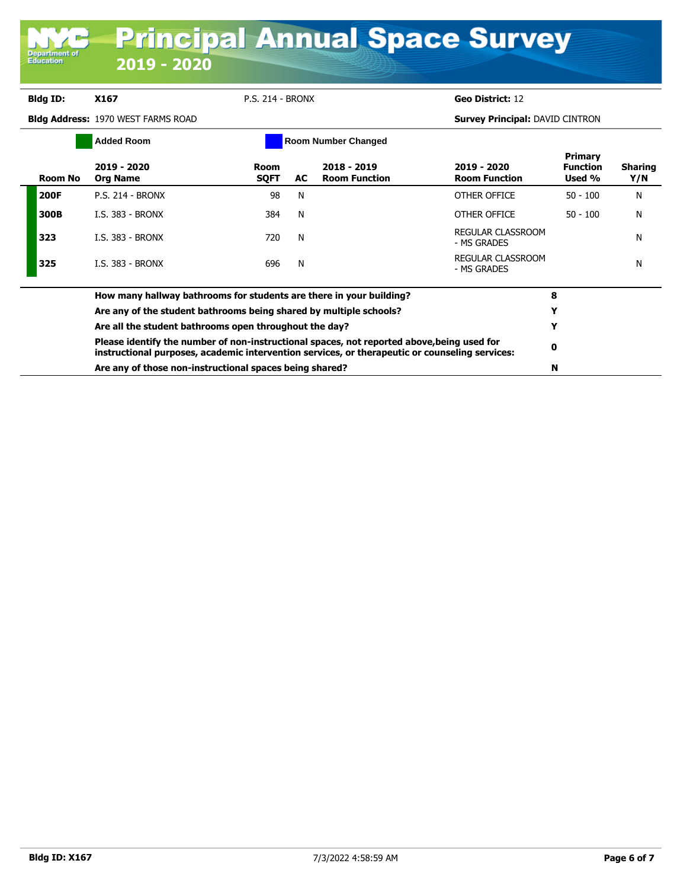| Bidg ID:    | X167                                                                                                                                                                                         | <b>P.S. 214 - BRONX</b> |     |                                       | Geo District: 12                       |                                      |                       |
|-------------|----------------------------------------------------------------------------------------------------------------------------------------------------------------------------------------------|-------------------------|-----|---------------------------------------|----------------------------------------|--------------------------------------|-----------------------|
|             | <b>Bidg Address: 1970 WEST FARMS ROAD</b>                                                                                                                                                    |                         |     |                                       | <b>Survey Principal: DAVID CINTRON</b> |                                      |                       |
|             | <b>Added Room</b>                                                                                                                                                                            |                         |     | <b>Room Number Changed</b>            |                                        |                                      |                       |
| Room No     | 2019 - 2020<br><b>Org Name</b>                                                                                                                                                               | Room<br><b>SQFT</b>     | AC. | $2018 - 2019$<br><b>Room Function</b> | 2019 - 2020<br><b>Room Function</b>    | Primary<br><b>Function</b><br>Used % | <b>Sharing</b><br>Y/N |
| <b>200F</b> | <b>P.S. 214 - BRONX</b>                                                                                                                                                                      | 98                      | N   |                                       | OTHER OFFICE                           | $50 - 100$                           | N                     |
| 300B        | <b>I.S. 383 - BRONX</b>                                                                                                                                                                      | 384                     | N   |                                       | OTHER OFFICE                           | $50 - 100$                           | N                     |
| 323         | <b>I.S. 383 - BRONX</b>                                                                                                                                                                      | 720                     | N   |                                       | REGULAR CLASSROOM<br>- MS GRADES       |                                      | N                     |
| 325         | I.S. 383 - BRONX                                                                                                                                                                             | 696                     | N   |                                       | REGULAR CLASSROOM<br>- MS GRADES       |                                      | N                     |
|             | How many hallway bathrooms for students are there in your building?                                                                                                                          |                         |     |                                       |                                        | 8                                    |                       |
|             | Are any of the student bathrooms being shared by multiple schools?                                                                                                                           |                         |     |                                       |                                        | Y                                    |                       |
|             | Are all the student bathrooms open throughout the day?                                                                                                                                       |                         | Y   |                                       |                                        |                                      |                       |
|             | Please identify the number of non-instructional spaces, not reported above, being used for<br>instructional purposes, academic intervention services, or therapeutic or counseling services: |                         | 0   |                                       |                                        |                                      |                       |
|             | Are any of those non-instructional spaces being shared?                                                                                                                                      |                         |     |                                       |                                        | N                                    |                       |